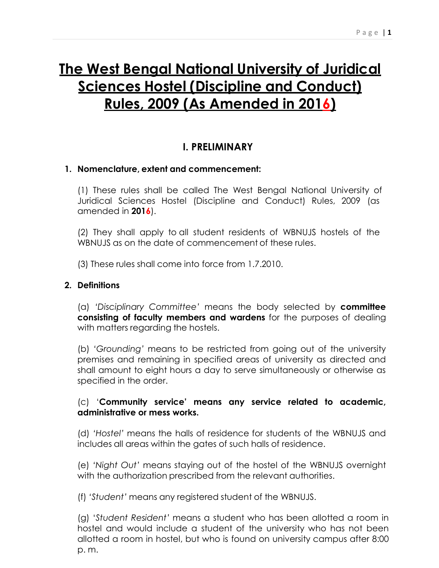# **The West Bengal National University of Juridical Sciences Hostel (Discipline and Conduct) Rules, 2009 (As Amended in 2016)**

# **I. PRELIMINARY**

#### **1. Nomenclature, extent and commencement:**

(1) These rules shall be called The West Bengal National University of Juridical Sciences Hostel (Discipline and Conduct) Rules, 2009 (as amended in **2016**).

(2) They shall apply to all student residents of WBNUJS hostels of the WBNUJS as on the date of commencement of these rules.

(3) These rules shall come into force from 1.7.2010.

#### **2. Definitions**

(a) *'Disciplinary Committee'* means the body selected by **committee consisting of faculty members and wardens** for the purposes of dealing with matters regarding the hostels.

(b) *'Grounding'* means to be restricted from going out of the university premises and remaining in specified areas of university as directed and shall amount to eight hours a day to serve simultaneously or otherwise as specified in the order.

#### (c) '**Community service' means any service related to academic, administrative or mess works.**

(d) *'Hostel'* means the halls of residence for students of the WBNUJS and includes all areas within the gates of such halls of residence.

(e) *'Night Out'* means staying out of the hostel of the WBNUJS overnight with the authorization prescribed from the relevant authorities.

(f) *'Student'* means any registered student of the WBNUJS.

(g) '*Student Resident'* means a student who has been allotted a room in hostel and would include a student of the university who has not been allotted a room in hostel, but who is found on university campus after 8:00 p. m.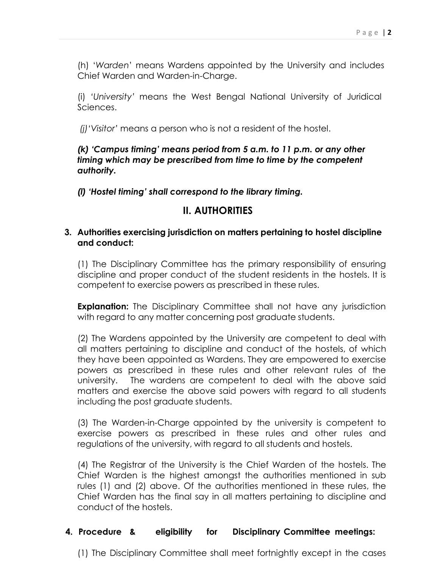(h) '*Warden*' means Wardens appointed by the University and includes Chief Warden and Warden-in-Charge.

(i) *'University'* means the West Bengal National University of Juridical Sciences.

*(j)'Visitor'* means a person who is not a resident of the hostel.

*(k) 'Campus timing' means period from 5 a.m. to 11 p.m. or any other timing which may be prescribed from time to time by the competent authority.*

*(l) 'Hostel timing' shall correspond to the library timing.*

## **II. AUTHORITIES**

### **3. Authorities exercising jurisdiction on matters pertaining to hostel discipline and conduct:**

(1) The Disciplinary Committee has the primary responsibility of ensuring discipline and proper conduct of the student residents in the hostels. It is competent to exercise powers as prescribed in these rules.

**Explanation:** The Disciplinary Committee shall not have any jurisdiction with regard to any matter concerning post graduate students.

(2) The Wardens appointed by the University are competent to deal with all matters pertaining to discipline and conduct of the hostels, of which they have been appointed as Wardens. They are empowered to exercise powers as prescribed in these rules and other relevant rules of the university. The wardens are competent to deal with the above said matters and exercise the above said powers with regard to all students including the post graduate students.

(3) The Warden-in-Charge appointed by the university is competent to exercise powers as prescribed in these rules and other rules and regulations of the university, with regard to all students and hostels.

(4) The Registrar of the University is the Chief Warden of the hostels. The Chief Warden is the highest amongst the authorities mentioned in sub rules (1) and (2) above. Of the authorities mentioned in these rules, the Chief Warden has the final say in all matters pertaining to discipline and conduct of the hostels.

## **4. Procedure & eligibility for Disciplinary Committee meetings:**

(1) The Disciplinary Committee shall meet fortnightly except in the cases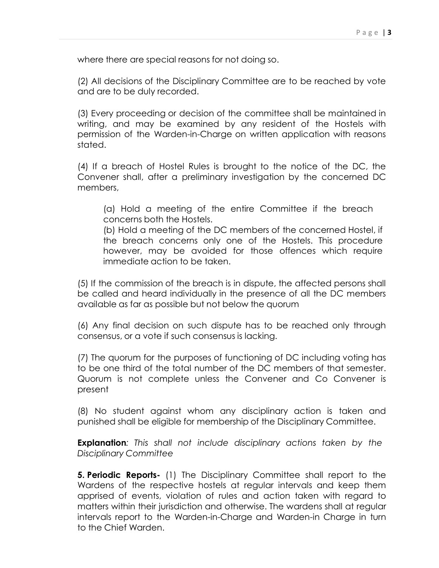where there are special reasons for not doing so.

(2) All decisions of the Disciplinary Committee are to be reached by vote and are to be duly recorded.

(3) Every proceeding or decision of the committee shall be maintained in writing, and may be examined by any resident of the Hostels with permission of the Warden-in-Charge on written application with reasons stated.

(4) If a breach of Hostel Rules is brought to the notice of the DC, the Convener shall, after a preliminary investigation by the concerned DC members,

(a) Hold a meeting of the entire Committee if the breach concerns both the Hostels.

(b) Hold a meeting of the DC members of the concerned Hostel, if the breach concerns only one of the Hostels. This procedure however, may be avoided for those offences which require immediate action to be taken.

(5) If the commission of the breach is in dispute, the affected persons shall be called and heard individually in the presence of all the DC members available as far as possible but not below the quorum

(6) Any final decision on such dispute has to be reached only through consensus, or a vote if such consensus is lacking.

(7) The quorum for the purposes of functioning of DC including voting has to be one third of the total number of the DC members of that semester. Quorum is not complete unless the Convener and Co Convener is present

(8) No student against whom any disciplinary action is taken and punished shall be eligible for membership of the Disciplinary Committee.

**Explanation***: This shall not include disciplinary actions taken by the Disciplinary Committee*

**5. Periodic Reports-** (1) The Disciplinary Committee shall report to the Wardens of the respective hostels at regular intervals and keep them apprised of events, violation of rules and action taken with regard to matters within their jurisdiction and otherwise. The wardens shall at regular intervals report to the Warden-in-Charge and Warden-in Charge in turn to the Chief Warden.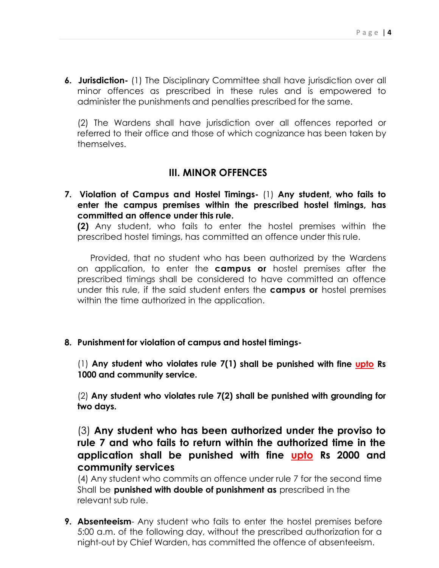**6. Jurisdiction-** (1) The Disciplinary Committee shall have jurisdiction over all minor offences as prescribed in these rules and is empowered to administer the punishments and penalties prescribed for the same.

(2) The Wardens shall have jurisdiction over all offences reported or referred to their office and those of which cognizance has been taken by themselves.

## **III. MINOR OFFENCES**

**7. Violation of Campus and Hostel Timings-** (1) **Any student, who fails to enter the campus premises within the prescribed hostel timings, has committed an offence under this rule.**

**(2)** Any student, who fails to enter the hostel premises within the prescribed hostel timings, has committed an offence under this rule.

Provided, that no student who has been authorized by the Wardens on application, to enter the **campus or** hostel premises after the prescribed timings shall be considered to have committed an offence under this rule, if the said student enters the **campus or** hostel premises within the time authorized in the application.

## **8. Punishment for violation of campus and hostel timings-**

(1) **Any student who violates rule 7(1) shall be punished with fine upto Rs 1000 and community service.** 

(2) **Any student who violates rule 7(2) shall be punished with grounding for two days.**

# (3) **Any student who has been authorized under the proviso to rule 7 and who fails to return within the authorized time in the application shall be punished with fine upto Rs 2000 and community services**

(4) Any student who commits an offence under rule 7 for the second time Shall be **punished with double of punishment as** prescribed in the relevant sub rule.

**9. Absenteeism**- Any student who fails to enter the hostel premises before 5:00 a.m. of the following day, without the prescribed authorization for a night-out by Chief Warden, has committed the offence of absenteeism.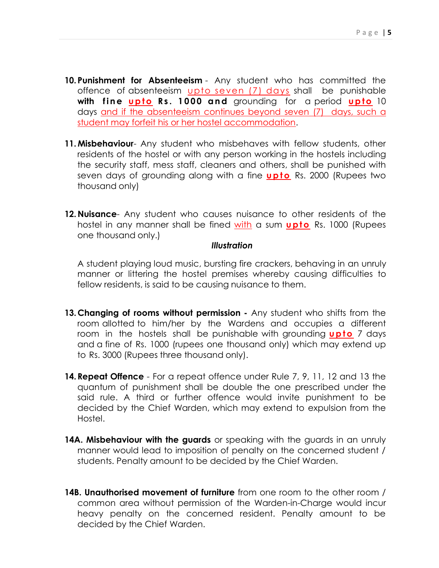- **10. Punishment for Absenteeism** Any student who has committed the offence of absenteeism upto seven (7) days shall be punishable **with fine upto Rs. 1000 and** grounding for a period upto 10 days and if the absenteeism continues beyond seven (7) days, such a student may forfeit his or her hostel accommodation.
- **11. Misbehaviour** Any student who misbehaves with fellow students, other residents of the hostel or with any person working in the hostels including the security staff, mess staff, cleaners and others, shall be punished with seven days of grounding along with a fine **upto** Rs. 2000 (Rupees two thousand only)
- **12.Nuisance** Any student who causes nuisance to other residents of the hostel in any manner shall be fined with a sum **upto** Rs. 1000 (Rupees one thousand only.)

#### *Illustration*

A student playing loud music, bursting fire crackers, behaving in an unruly manner or littering the hostel premises whereby causing difficulties to fellow residents, is said to be causing nuisance to them.

- **13.Changing of rooms without permission -** Any student who shifts from the room allotted to him/her by the Wardens and occupies a different room in the hostels shall be punishable with grounding **upto** 7 days and a fine of Rs. 1000 (rupees one thousand only) which may extend up to Rs. 3000 (Rupees three thousand only).
- **14.Repeat Offence** For a repeat offence under Rule 7, 9, 11, 12 and 13 the quantum of punishment shall be double the one prescribed under the said rule. A third or further offence would invite punishment to be decided by the Chief Warden, which may extend to expulsion from the Hostel.
- **14A. Misbehaviour with the guards** or speaking with the guards in an unruly manner would lead to imposition of penalty on the concerned student / students. Penalty amount to be decided by the Chief Warden.
- **14B. Unauthorised movement of furniture** from one room to the other room / common area without permission of the Warden-in-Charge would incur heavy penalty on the concerned resident. Penalty amount to be decided by the Chief Warden.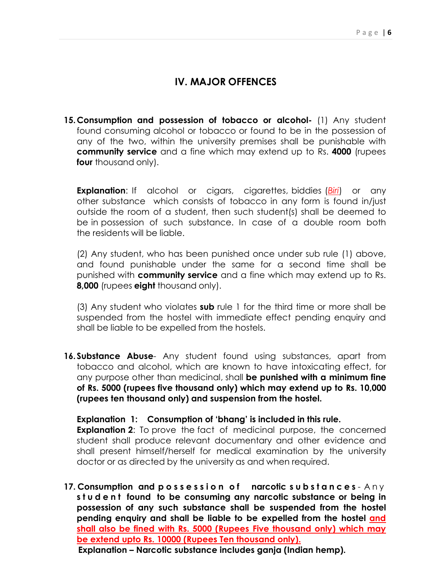## **IV. MAJOR OFFENCES**

**15.Consumption and possession of tobacco or alcohol-** (1) Any student found consuming alcohol or tobacco or found to be in the possession of any of the two, within the university premises shall be punishable with **community service** and a fine which may extend up to Rs. **4000** (rupees **four** thousand only).

**Explanation**: If alcohol or cigars, cigarettes, biddies (*Biri*) or any other substance which consists of tobacco in any form is found in/just outside the room of a student, then such student(s) shall be deemed to be in possession of such substance. In case of a double room both the residents will be liable.

(2) Any student, who has been punished once under sub rule (1) above, and found punishable under the same for a second time shall be punished with **community service** and a fine which may extend up to Rs. **8,000** (rupees **eight** thousand only).

(3) Any student who violates **sub** rule 1 for the third time or more shall be suspended from the hostel with immediate effect pending enquiry and shall be liable to be expelled from the hostels.

**16. Substance Abuse**- Any student found using substances, apart from tobacco and alcohol, which are known to have intoxicating effect, for any purpose other than medicinal, shall **be punished with a minimum fine of Rs. 5000 (rupees five thousand only) which may extend up to Rs. 10,000 (rupees ten thousand only) and suspension from the hostel.**

**Explanation 1: Consumption of 'bhang' is included in this rule.**

**Explanation 2:** To prove the fact of medicinal purpose, the concerned student shall produce relevant documentary and other evidence and shall present himself/herself for medical examination by the university doctor or as directed by the university as and when required.

**17. Consumption and possession o f narcotic substances** - Any **s t u d e n t found to be consuming any narcotic substance or being in possession of any such substance shall be suspended from the hostel pending enquiry and shall be liable to be expelled from the hostel and shall also be fined with Rs. 5000 (Rupees Five thousand only) which may be extend upto Rs. 10000 (Rupees Ten thousand only).**

**Explanation – Narcotic substance includes ganja (Indian hemp).**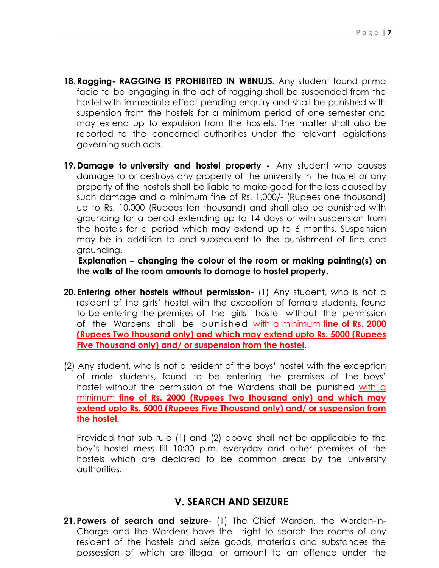- **18. Ragging- RAGGING IS PROHIBITED IN WBNUJS.** Any student found prima facie to be engaging in the act of ragging shall be suspended from the hostel with immediate effect pending enquiry and shall be punished with suspension from the hostels for a minimum period of one semester and may extend up to expulsion from the hostels. The matter shall also be reported to the concerned authorities under the relevant legislations governing such acts.
- **19. Damage to university and hostel property -** Any student who causes damage to or destroys any property of the university in the hostel or any property of the hostels shall be liable to make good for the loss caused by such damage and a minimum fine of Rs. 1,000/- (Rupees one thousand) up to Rs. 10,000 (Rupees ten thousand) and shall also be punished with grounding for a period extending up to 14 days or with suspension from the hostels for a period which may extend up to 6 months. Suspension may be in addition to and subsequent to the punishment of fine and grounding.

 **Explanation – changing the colour of the room or making painting(s) on the walls of the room amounts to damage to hostel property.**

- **20. Entering other hostels without permission-** (1) Any student, who is not a resident of the girls' hostel with the exception of female students, found to be entering the premises of the girls' hostel without the permission of the Wardens shall be punished with a minimum **fine of Rs. 2000 (Rupees Two thousand only) and which may extend upto Rs. 5000 (Rupees Five Thousand only) and/ or suspension from the hostel.**
- (2) Any student, who is not a resident of the boys' hostel with the exception of male students, found to be entering the premises of the boys' hostel without the permission of the Wardens shall be punished with a minimum **fine of Rs. 2000 (Rupees Two thousand only) and which may extend upto Rs. 5000 (Rupees Five Thousand only) and/ or suspension from the hostel.**

Provided that sub rule (1) and (2) above shall not be applicable to the boy's hostel mess till 10:00 p.m. everyday and other premises of the hostels which are declared to be common areas by the university authorities.

## **V. SEARCH AND SEIZURE**

**21.Powers of search and seizure**- (1) The Chief Warden, the Warden-in-Charge and the Wardens have the right to search the rooms of any resident of the hostels and seize goods, materials and substances the possession of which are illegal or amount to an offence under the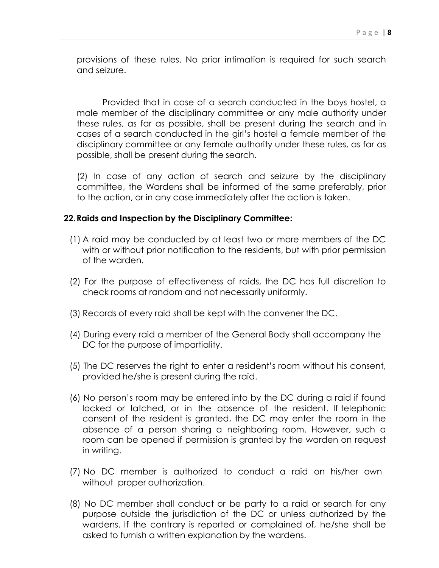provisions of these rules. No prior intimation is required for such search and seizure.

Provided that in case of a search conducted in the boys hostel, a male member of the disciplinary committee or any male authority under these rules, as far as possible, shall be present during the search and in cases of a search conducted in the girl's hostel a female member of the disciplinary committee or any female authority under these rules, as far as possible, shall be present during the search.

(2) In case of any action of search and seizure by the disciplinary committee, the Wardens shall be informed of the same preferably, prior to the action, or in any case immediately after the action is taken.

#### **22.Raids and Inspection by the Disciplinary Committee:**

- (1) A raid may be conducted by at least two or more members of the DC with or without prior notification to the residents, but with prior permission of the warden.
- (2) For the purpose of effectiveness of raids, the DC has full discretion to check rooms at random and not necessarily uniformly.
- (3) Records of every raid shall be kept with the convener the DC.
- (4) During every raid a member of the General Body shall accompany the DC for the purpose of impartiality.
- (5) The DC reserves the right to enter a resident's room without his consent, provided he/she is present during the raid.
- (6) No person's room may be entered into by the DC during a raid if found locked or latched, or in the absence of the resident. If telephonic consent of the resident is granted, the DC may enter the room in the absence of a person sharing a neighboring room. However, such a room can be opened if permission is granted by the warden on request in writing.
- (7) No DC member is authorized to conduct a raid on his/her own without proper authorization.
- (8) No DC member shall conduct or be party to a raid or search for any purpose outside the jurisdiction of the DC or unless authorized by the wardens. If the contrary is reported or complained of, he/she shall be asked to furnish a written explanation by the wardens.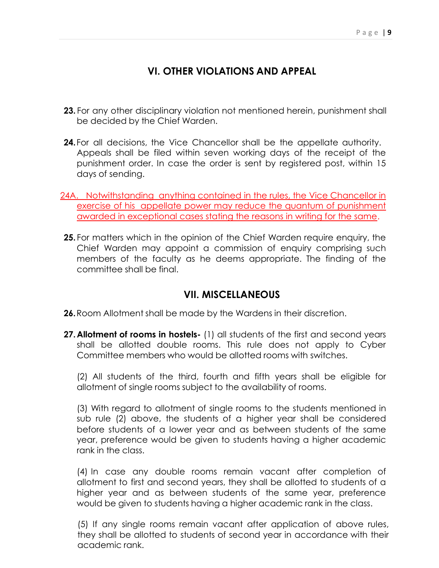# **VI. OTHER VIOLATIONS AND APPEAL**

- **23.** For any other disciplinary violation not mentioned herein, punishment shall be decided by the Chief Warden.
- **24.**For all decisions, the Vice Chancellor shall be the appellate authority. Appeals shall be filed within seven working days of the receipt of the punishment order. In case the order is sent by registered post, within 15 days of sending.
- 24A. Notwithstanding anything contained in the rules, the Vice Chancellor in exercise of his appellate power may reduce the quantum of punishment awarded in exceptional cases stating the reasons in writing for the same.
- **25.** For matters which in the opinion of the Chief Warden require enquiry, the Chief Warden may appoint a commission of enquiry comprising such members of the faculty as he deems appropriate. The finding of the committee shall be final.

## **VII. MISCELLANEOUS**

- **26.**Room Allotment shall be made by the Wardens in their discretion.
- **27.Allotment of rooms in hostels-** (1) all students of the first and second years shall be allotted double rooms. This rule does not apply to Cyber Committee members who would be allotted rooms with switches.

(2) All students of the third, fourth and fifth years shall be eligible for allotment of single rooms subject to the availability of rooms.

(3) With regard to allotment of single rooms to the students mentioned in sub rule (2) above, the students of a higher year shall be considered before students of a lower year and as between students of the same year, preference would be given to students having a higher academic rank in the class.

(4) In case any double rooms remain vacant after completion of allotment to first and second years, they shall be allotted to students of a higher year and as between students of the same year, preference would be given to students having a higher academic rank in the class.

(5) If any single rooms remain vacant after application of above rules, they shall be allotted to students of second year in accordance with their academic rank.